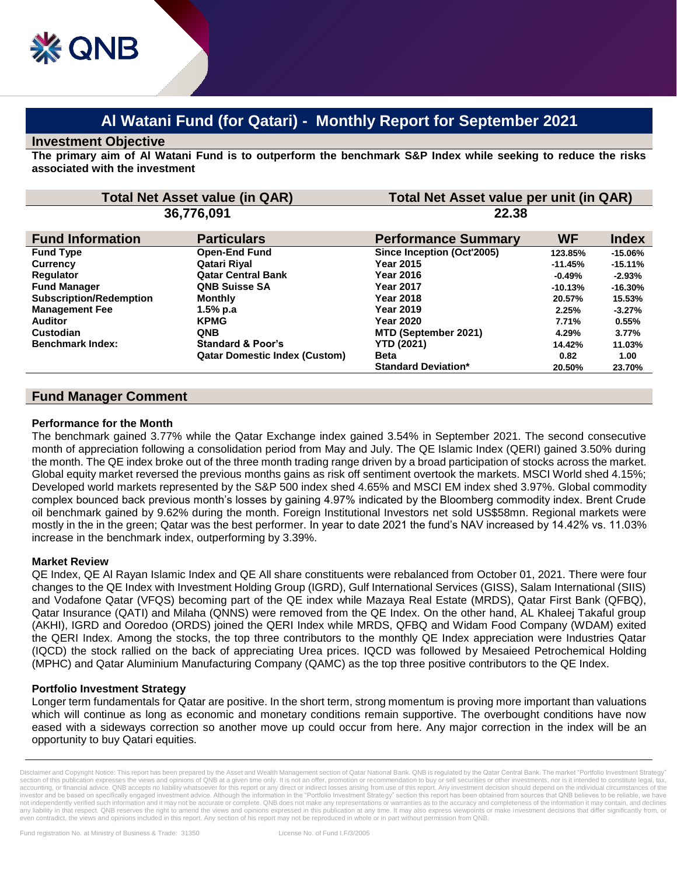# **Al Watani Fund (for Qatari) - Monthly Report for September 2021**

### **Investment Objective**

**The primary aim of Al Watani Fund is to outperform the benchmark S&P Index while seeking to reduce the risks associated with the investment**

| <b>Total Net Asset value (in QAR)</b> |                                      | <b>Total Net Asset value per unit (in QAR)</b> |           |              |
|---------------------------------------|--------------------------------------|------------------------------------------------|-----------|--------------|
| 36,776,091                            |                                      | 22.38                                          |           |              |
| <b>Fund Information</b>               | <b>Particulars</b>                   | <b>Performance Summary</b>                     | <b>WF</b> | <b>Index</b> |
| <b>Fund Type</b>                      | <b>Open-End Fund</b>                 | Since Inception (Oct'2005)                     | 123.85%   | $-15.06%$    |
| <b>Currency</b>                       | Qatari Riyal                         | <b>Year 2015</b>                               | $-11.45%$ | $-15.11%$    |
| Regulator                             | <b>Qatar Central Bank</b>            | <b>Year 2016</b>                               | $-0.49%$  | $-2.93%$     |
| <b>Fund Manager</b>                   | <b>QNB Suisse SA</b>                 | <b>Year 2017</b>                               | $-10.13%$ | $-16.30%$    |
| <b>Subscription/Redemption</b>        | <b>Monthly</b>                       | <b>Year 2018</b>                               | 20.57%    | 15.53%       |
| <b>Management Fee</b>                 | 1.5% p.a                             | <b>Year 2019</b>                               | 2.25%     | $-3.27%$     |
| <b>Auditor</b>                        | <b>KPMG</b>                          | <b>Year 2020</b>                               | 7.71%     | 0.55%        |
| Custodian                             | <b>QNB</b>                           | MTD (September 2021)                           | 4.29%     | 3.77%        |
| <b>Benchmark Index:</b>               | <b>Standard &amp; Poor's</b>         | <b>YTD (2021)</b>                              | 14.42%    | 11.03%       |
|                                       | <b>Qatar Domestic Index (Custom)</b> | <b>Beta</b>                                    | 0.82      | 1.00         |
|                                       |                                      | <b>Standard Deviation*</b>                     | 20.50%    | 23.70%       |

# **Fund Manager Comment**

#### **Performance for the Month**

The benchmark gained 3.77% while the Qatar Exchange index gained 3.54% in September 2021. The second consecutive month of appreciation following a consolidation period from May and July. The QE Islamic Index (QERI) gained 3.50% during the month. The QE index broke out of the three month trading range driven by a broad participation of stocks across the market. Global equity market reversed the previous months gains as risk off sentiment overtook the markets. MSCI World shed 4.15%; Developed world markets represented by the S&P 500 index shed 4.65% and MSCI EM index shed 3.97%. Global commodity complex bounced back previous month's losses by gaining 4.97% indicated by the Bloomberg commodity index. Brent Crude oil benchmark gained by 9.62% during the month. Foreign Institutional Investors net sold US\$58mn. Regional markets were mostly in the in the green; Qatar was the best performer. In year to date 2021 the fund's NAV increased by 14.42% vs. 11.03% increase in the benchmark index, outperforming by 3.39%.

#### **Market Review**

QE Index, QE Al Rayan Islamic Index and QE All share constituents were rebalanced from October 01, 2021. There were four changes to the QE Index with Investment Holding Group (IGRD), Gulf International Services (GISS), Salam International (SIIS) and Vodafone Qatar (VFQS) becoming part of the QE index while Mazaya Real Estate (MRDS), Qatar First Bank (QFBQ), Qatar Insurance (QATI) and Milaha (QNNS) were removed from the QE Index. On the other hand, AL Khaleej Takaful group (AKHI), IGRD and Ooredoo (ORDS) joined the QERI Index while MRDS, QFBQ and Widam Food Company (WDAM) exited the QERI Index. Among the stocks, the top three contributors to the monthly QE Index appreciation were Industries Qatar (IQCD) the stock rallied on the back of appreciating Urea prices. IQCD was followed by Mesaieed Petrochemical Holding (MPHC) and Qatar Aluminium Manufacturing Company (QAMC) as the top three positive contributors to the QE Index.

## **Portfolio Investment Strategy**

Longer term fundamentals for Qatar are positive. In the short term, strong momentum is proving more important than valuations which will continue as long as economic and monetary conditions remain supportive. The overbought conditions have now eased with a sideways correction so another move up could occur from here. Any major correction in the index will be an opportunity to buy Qatari equities.

Disclaimer and Copyright Notice: This report has been prepared by the Asset and Wealth Management section of Qatar National Bank. QNB is regulated by the Qatar Central Bank. The market "Portfolio Investment Strategy section of this publication expresses the views and opinions of QNB at a given time only. It is not an offer, promotion or recommendation to buy or sell securities or other investments, nor is it intended to constitute leg accounting, or financial advice. QNB accepts no liability whatsoever for this report or any direct or indirect losses arising from use of this report. Any investment decision should depend on the individual circumstances o investor and be based on specifically engaged investment advice. Although the information in the "Portfolio Investment Strategy" section this report has been obtained from sources that QNB believes to be reliable, we have not independently verified such information and it may not be accurate or complete. QNB does not make any representations or warranties as to the accuracy and completeness of the information it may contain, and declines<br>an even contradict, the views and opinions included in this report. Any section of his report may not be reproduced in whole or in part without permission from QNB.